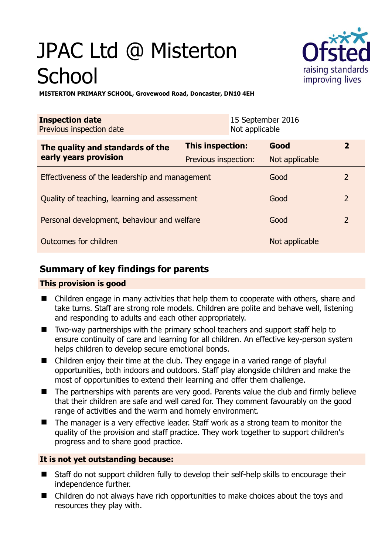# JPAC Ltd @ Misterton **School**



**MISTERTON PRIMARY SCHOOL, Grovewood Road, Doncaster, DN10 4EH** 

| <b>Inspection date</b><br>Previous inspection date        | 15 September 2016<br>Not applicable |                |                |
|-----------------------------------------------------------|-------------------------------------|----------------|----------------|
| The quality and standards of the<br>early years provision | This inspection:                    | Good           | $\overline{2}$ |
|                                                           | Previous inspection:                | Not applicable |                |
| Effectiveness of the leadership and management            |                                     | Good           | 2              |
| Quality of teaching, learning and assessment              |                                     | Good           | $\overline{2}$ |
| Personal development, behaviour and welfare               |                                     | Good           | $\overline{2}$ |
| Outcomes for children                                     |                                     | Not applicable |                |

# **Summary of key findings for parents**

## **This provision is good**

- Children engage in many activities that help them to cooperate with others, share and take turns. Staff are strong role models. Children are polite and behave well, listening and responding to adults and each other appropriately.
- Two-way partnerships with the primary school teachers and support staff help to ensure continuity of care and learning for all children. An effective key-person system helps children to develop secure emotional bonds.
- Children enjoy their time at the club. They engage in a varied range of playful opportunities, both indoors and outdoors. Staff play alongside children and make the most of opportunities to extend their learning and offer them challenge.
- The partnerships with parents are very good. Parents value the club and firmly believe that their children are safe and well cared for. They comment favourably on the good range of activities and the warm and homely environment.
- The manager is a very effective leader. Staff work as a strong team to monitor the quality of the provision and staff practice. They work together to support children's progress and to share good practice.

## **It is not yet outstanding because:**

- Staff do not support children fully to develop their self-help skills to encourage their independence further.
- Children do not always have rich opportunities to make choices about the toys and resources they play with.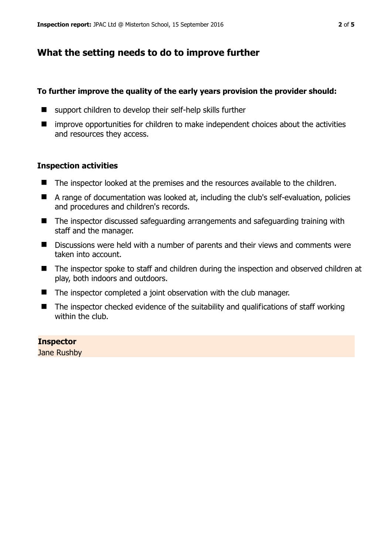# **What the setting needs to do to improve further**

#### **To further improve the quality of the early years provision the provider should:**

- support children to develop their self-help skills further
- $\blacksquare$  improve opportunities for children to make independent choices about the activities and resources they access.

#### **Inspection activities**

- The inspector looked at the premises and the resources available to the children.
- A range of documentation was looked at, including the club's self-evaluation, policies and procedures and children's records.
- The inspector discussed safeguarding arrangements and safeguarding training with staff and the manager.
- Discussions were held with a number of parents and their views and comments were taken into account.
- The inspector spoke to staff and children during the inspection and observed children at play, both indoors and outdoors.
- The inspector completed a joint observation with the club manager.
- $\blacksquare$  The inspector checked evidence of the suitability and qualifications of staff working within the club.

#### **Inspector**

Jane Rushby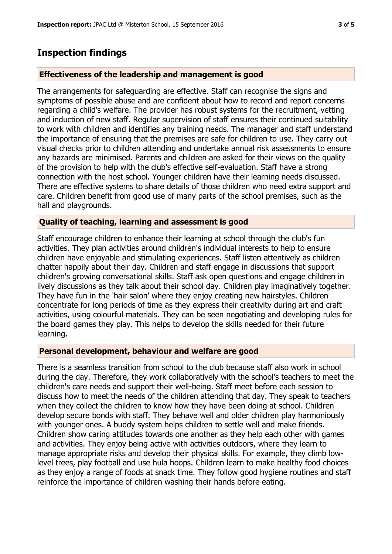## **Inspection findings**

#### **Effectiveness of the leadership and management is good**

The arrangements for safeguarding are effective. Staff can recognise the signs and symptoms of possible abuse and are confident about how to record and report concerns regarding a child's welfare. The provider has robust systems for the recruitment, vetting and induction of new staff. Regular supervision of staff ensures their continued suitability to work with children and identifies any training needs. The manager and staff understand the importance of ensuring that the premises are safe for children to use. They carry out visual checks prior to children attending and undertake annual risk assessments to ensure any hazards are minimised. Parents and children are asked for their views on the quality of the provision to help with the club's effective self-evaluation. Staff have a strong connection with the host school. Younger children have their learning needs discussed. There are effective systems to share details of those children who need extra support and care. Children benefit from good use of many parts of the school premises, such as the hall and playgrounds.

#### **Quality of teaching, learning and assessment is good**

Staff encourage children to enhance their learning at school through the club's fun activities. They plan activities around children's individual interests to help to ensure children have enjoyable and stimulating experiences. Staff listen attentively as children chatter happily about their day. Children and staff engage in discussions that support children's growing conversational skills. Staff ask open questions and engage children in lively discussions as they talk about their school day. Children play imaginatively together. They have fun in the 'hair salon' where they enjoy creating new hairstyles. Children concentrate for long periods of time as they express their creativity during art and craft activities, using colourful materials. They can be seen negotiating and developing rules for the board games they play. This helps to develop the skills needed for their future learning.

#### **Personal development, behaviour and welfare are good**

There is a seamless transition from school to the club because staff also work in school during the day. Therefore, they work collaboratively with the school's teachers to meet the children's care needs and support their well-being. Staff meet before each session to discuss how to meet the needs of the children attending that day. They speak to teachers when they collect the children to know how they have been doing at school. Children develop secure bonds with staff. They behave well and older children play harmoniously with younger ones. A buddy system helps children to settle well and make friends. Children show caring attitudes towards one another as they help each other with games and activities. They enjoy being active with activities outdoors, where they learn to manage appropriate risks and develop their physical skills. For example, they climb lowlevel trees, play football and use hula hoops. Children learn to make healthy food choices as they enjoy a range of foods at snack time. They follow good hygiene routines and staff reinforce the importance of children washing their hands before eating.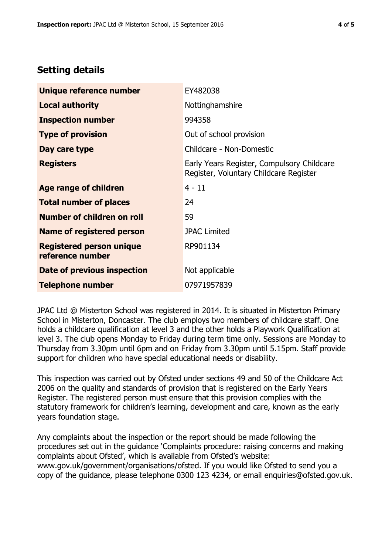# **Setting details**

| Unique reference number                             | EY482038                                                                             |  |
|-----------------------------------------------------|--------------------------------------------------------------------------------------|--|
| <b>Local authority</b>                              | Nottinghamshire                                                                      |  |
| <b>Inspection number</b>                            | 994358                                                                               |  |
| <b>Type of provision</b>                            | Out of school provision                                                              |  |
| Day care type                                       | Childcare - Non-Domestic                                                             |  |
| <b>Registers</b>                                    | Early Years Register, Compulsory Childcare<br>Register, Voluntary Childcare Register |  |
| Age range of children                               | $4 - 11$                                                                             |  |
| <b>Total number of places</b>                       | 24                                                                                   |  |
| Number of children on roll                          | 59                                                                                   |  |
| Name of registered person                           | <b>JPAC Limited</b>                                                                  |  |
| <b>Registered person unique</b><br>reference number | RP901134                                                                             |  |
| Date of previous inspection                         | Not applicable                                                                       |  |
| <b>Telephone number</b>                             | 07971957839                                                                          |  |

JPAC Ltd @ Misterton School was registered in 2014. It is situated in Misterton Primary School in Misterton, Doncaster. The club employs two members of childcare staff. One holds a childcare qualification at level 3 and the other holds a Playwork Qualification at level 3. The club opens Monday to Friday during term time only. Sessions are Monday to Thursday from 3.30pm until 6pm and on Friday from 3.30pm until 5.15pm. Staff provide support for children who have special educational needs or disability.

This inspection was carried out by Ofsted under sections 49 and 50 of the Childcare Act 2006 on the quality and standards of provision that is registered on the Early Years Register. The registered person must ensure that this provision complies with the statutory framework for children's learning, development and care, known as the early years foundation stage.

Any complaints about the inspection or the report should be made following the procedures set out in the guidance 'Complaints procedure: raising concerns and making complaints about Ofsted', which is available from Ofsted's website: www.gov.uk/government/organisations/ofsted. If you would like Ofsted to send you a copy of the guidance, please telephone 0300 123 4234, or email enquiries@ofsted.gov.uk.